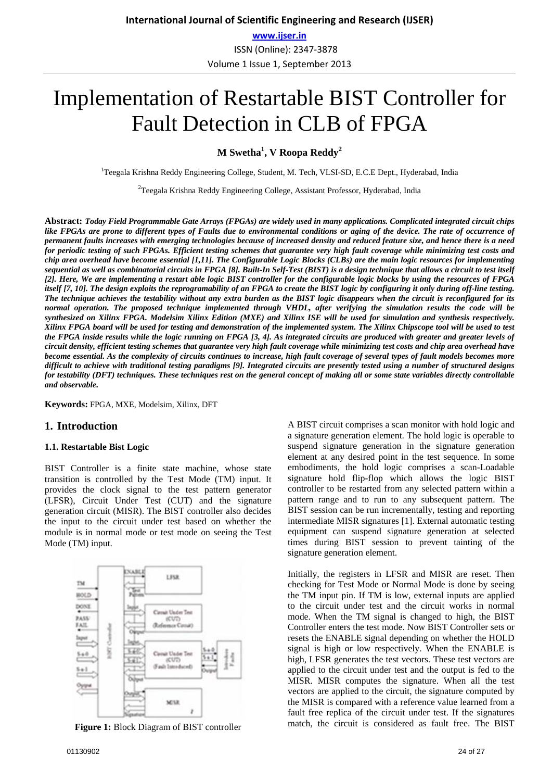ISSN (Online): 2347-3878 Volume 1 Issue 1, September 2013

# Implementation of Restartable BIST Controller for Fault Detection in CLB of FPGA

**M Swetha<sup>1</sup> , V Roopa Reddy<sup>2</sup>**

<sup>1</sup>Teegala Krishna Reddy Engineering College, Student, M. Tech, VLSI-SD, E.C.E Dept., Hyderabad, India

<sup>2</sup>Teegala Krishna Reddy Engineering College, Assistant Professor, Hyderabad, India

**Abstract:** *Today Field Programmable Gate Arrays (FPGAs) are widely used in many applications. Complicated integrated circuit chips*  like FPGAs are prone to different types of Faults due to environmental conditions or aging of the device. The rate of occurrence of *permanent faults increases with emerging technologies because of increased density and reduced feature size, and hence there is a need for periodic testing of such FPGAs. Efficient testing schemes that guarantee very high fault coverage while minimizing test costs and chip area overhead have become essential [1,11]. The Configurable Logic Blocks (CLBs) are the main logic resources for implementing sequential as well as combinatorial circuits in FPGA [8]. Built-In Self-Test (BIST) is a design technique that allows a circuit to test itself [2]. Here, We are implementing a restart able logic BIST controller for the configurable logic blocks by using the resources of FPGA itself [7, 10]. The design exploits the reprogramability of an FPGA to create the BIST logic by configuring it only during off-line testing. The technique achieves the testability without any extra burden as the BIST logic disappears when the circuit is reconfigured for its normal operation. The proposed technique implemented through VHDL, after verifying the simulation results the code will be synthesized on Xilinx FPGA. Modelsim Xilinx Edition (MXE) and Xilinx ISE will be used for simulation and synthesis respectively. Xilinx FPGA board will be used for testing and demonstration of the implemented system. The Xilinx Chipscope tool will be used to test the FPGA inside results while the logic running on FPGA [3, 4]. As integrated circuits are produced with greater and greater levels of circuit density, efficient testing schemes that guarantee very high fault coverage while minimizing test costs and chip area overhead have become essential. As the complexity of circuits continues to increase, high fault coverage of several types of fault models becomes more difficult to achieve with traditional testing paradigms [9]. Integrated circuits are presently tested using a number of structured designs for testability (DFT) techniques. These techniques rest on the general concept of making all or some state variables directly controllable and observable.* 

**Keywords:** FPGA, MXE, Modelsim, Xilinx, DFT

### **1. Introduction**

#### **1.1. Restartable Bist Logic**

BIST Controller is a finite state machine, whose state transition is controlled by the Test Mode (TM) input. It provides the clock signal to the test pattern generator (LFSR), Circuit Under Test (CUT) and the signature generation circuit (MISR). The BIST controller also decides the input to the circuit under test based on whether the module is in normal mode or test mode on seeing the Test Mode (TM) input.



**Figure 1:** Block Diagram of BIST controller

A BIST circuit comprises a scan monitor with hold logic and a signature generation element. The hold logic is operable to suspend signature generation in the signature generation element at any desired point in the test sequence. In some embodiments, the hold logic comprises a scan-Loadable signature hold flip-flop which allows the logic BIST controller to be restarted from any selected pattern within a pattern range and to run to any subsequent pattern. The BIST session can be run incrementally, testing and reporting intermediate MISR signatures [1]. External automatic testing equipment can suspend signature generation at selected times during BIST session to prevent tainting of the signature generation element.

Initially, the registers in LFSR and MISR are reset. Then checking for Test Mode or Normal Mode is done by seeing the TM input pin. If TM is low, external inputs are applied to the circuit under test and the circuit works in normal mode. When the TM signal is changed to high, the BIST Controller enters the test mode. Now BIST Controller sets or resets the ENABLE signal depending on whether the HOLD signal is high or low respectively. When the ENABLE is high, LFSR generates the test vectors. These test vectors are applied to the circuit under test and the output is fed to the MISR. MISR computes the signature. When all the test vectors are applied to the circuit, the signature computed by the MISR is compared with a reference value learned from a fault free replica of the circuit under test. If the signatures match, the circuit is considered as fault free. The BIST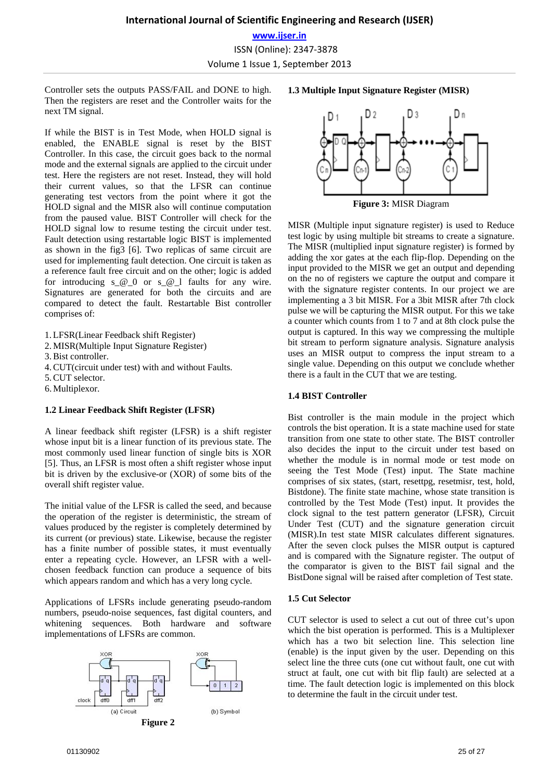Controller sets the outputs PASS/FAIL and DONE to high. Then the registers are reset and the Controller waits for the next TM signal.

If while the BIST is in Test Mode, when HOLD signal is enabled, the ENABLE signal is reset by the BIST Controller. In this case, the circuit goes back to the normal mode and the external signals are applied to the circuit under test. Here the registers are not reset. Instead, they will hold their current values, so that the LFSR can continue generating test vectors from the point where it got the HOLD signal and the MISR also will continue computation from the paused value. BIST Controller will check for the HOLD signal low to resume testing the circuit under test. Fault detection using restartable logic BIST is implemented as shown in the fig3 [6]. Two replicas of same circuit are used for implementing fault detection. One circuit is taken as a reference fault free circuit and on the other; logic is added for introducing  $s \in \mathcal{Q}$  or  $s \in \mathcal{Q}$  faults for any wire. Signatures are generated for both the circuits and are compared to detect the fault. Restartable Bist controller comprises of:

1.LFSR(Linear Feedback shift Register)

- 2.MISR(Multiple Input Signature Register)
- 3.Bist controller.
- 4.CUT(circuit under test) with and without Faults.
- 5.CUT selector.
- 6.Multiplexor.

#### **1.2 Linear Feedback Shift Register (LFSR)**

A linear feedback shift register (LFSR) is a shift register whose input bit is a linear function of its previous state. The most commonly used linear function of single bits is XOR [5]. Thus, an LFSR is most often a shift register whose input bit is driven by the exclusive-or (XOR) of some bits of the overall shift register value.

The initial value of the LFSR is called the seed, and because the operation of the register is deterministic, the stream of values produced by the register is completely determined by its current (or previous) state. Likewise, because the register has a finite number of possible states, it must eventually enter a repeating cycle. However, an LFSR with a wellchosen feedback function can produce a sequence of bits which appears random and which has a very long cycle.

Applications of LFSRs include generating pseudo-random numbers, pseudo-noise sequences, fast digital counters, and whitening sequences. Both hardware and software implementations of LFSRs are common.



#### **1.3 Multiple Input Signature Register (MISR)**



MISR (Multiple input signature register) is used to Reduce test logic by using multiple bit streams to create a signature. The MISR (multiplied input signature register) is formed by adding the xor gates at the each flip-flop. Depending on the input provided to the MISR we get an output and depending on the no of registers we capture the output and compare it with the signature register contents. In our project we are implementing a 3 bit MISR. For a 3bit MISR after 7th clock pulse we will be capturing the MISR output. For this we take a counter which counts from 1 to 7 and at 8th clock pulse the output is captured. In this way we compressing the multiple bit stream to perform signature analysis. Signature analysis uses an MISR output to compress the input stream to a single value. Depending on this output we conclude whether there is a fault in the CUT that we are testing.

#### **1.4 BIST Controller**

Bist controller is the main module in the project which controls the bist operation. It is a state machine used for state transition from one state to other state. The BIST controller also decides the input to the circuit under test based on whether the module is in normal mode or test mode on seeing the Test Mode (Test) input. The State machine comprises of six states, (start, resettpg, resetmisr, test, hold, Bistdone). The finite state machine, whose state transition is controlled by the Test Mode (Test) input. It provides the clock signal to the test pattern generator (LFSR), Circuit Under Test (CUT) and the signature generation circuit (MISR).In test state MISR calculates different signatures. After the seven clock pulses the MISR output is captured and is compared with the Signature register. The output of the comparator is given to the BIST fail signal and the BistDone signal will be raised after completion of Test state.

#### **1.5 Cut Selector**

CUT selector is used to select a cut out of three cut's upon which the bist operation is performed. This is a Multiplexer which has a two bit selection line. This selection line (enable) is the input given by the user. Depending on this select line the three cuts (one cut without fault, one cut with struct at fault, one cut with bit flip fault) are selected at a time. The fault detection logic is implemented on this block to determine the fault in the circuit under test.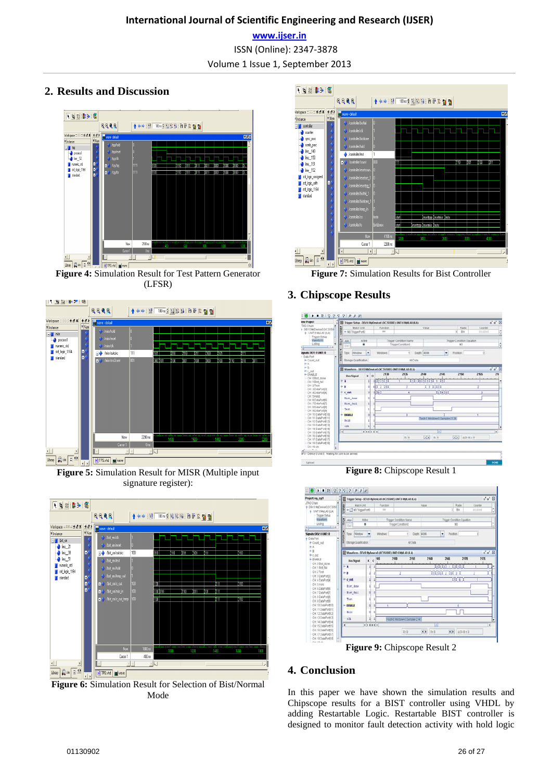**www.ijser.in** ISSN (Online): 2347-3878 Volume 1 Issue 1, September 2013

# **2. Results and Discussion**



**Figure 4:** Simulation Result for Test Pattern Generator (LFSR)



**Figure 5:** Simulation Result for MISR (Multiple input signature register):



**Figure 6:** Simulation Result for Selection of Bist/Normal Mode



**Figure 7:** Simulation Results for Bist Controller

# **3. Chipscope Results**



**Figure 8:** Chipscope Result 1



**Figure 9:** Chipscope Result 2

# **4. Conclusion**

In this paper we have shown the simulation results and Chipscope results for a BIST controller using VHDL by adding Restartable Logic. Restartable BIST controller is designed to monitor fault detection activity with hold logic